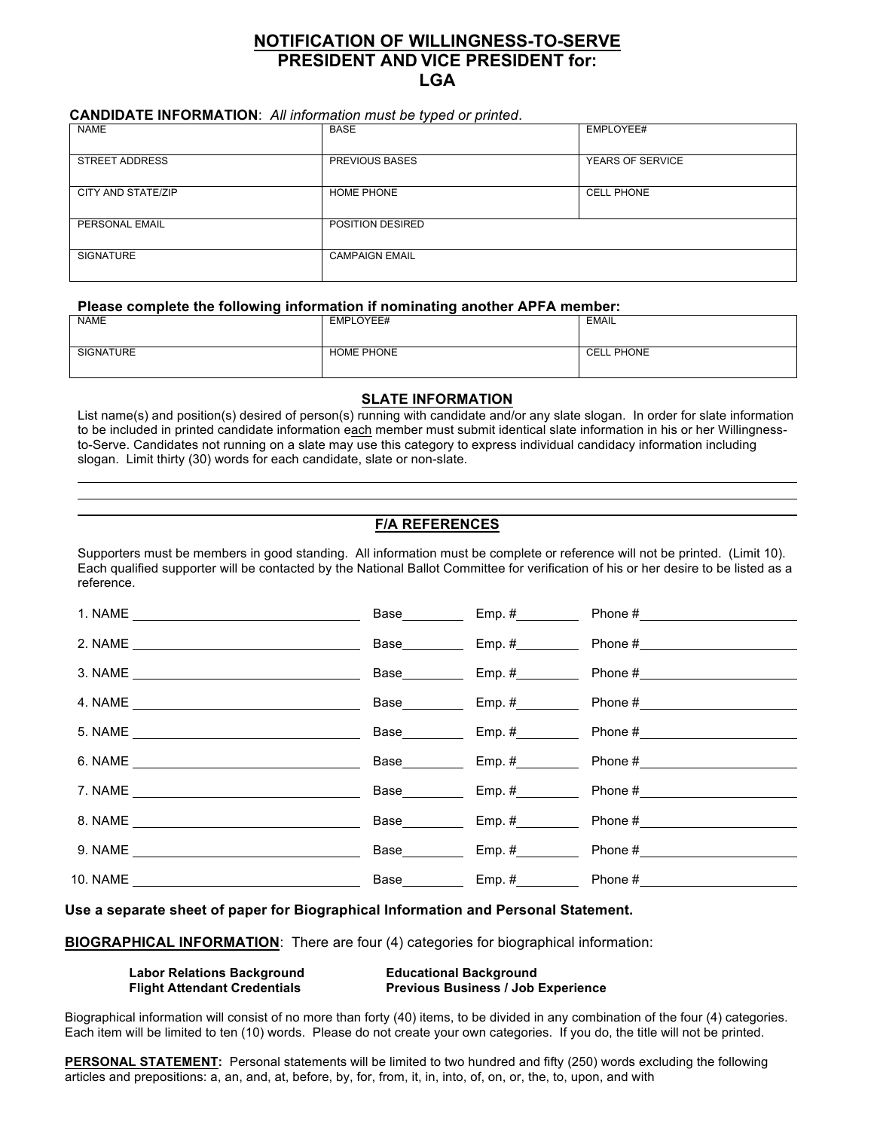# **NOTIFICATION OF WILLINGNESS-TO-SERVE PRESIDENT AND VICE PRESIDENT for: LGA**

## **CANDIDATE INFORMATION**: *All information must be typed or printed*.

| <b>NAME</b>           | <b>BASE</b>           | EMPLOYEE#         |
|-----------------------|-----------------------|-------------------|
| <b>STREET ADDRESS</b> | PREVIOUS BASES        | YEARS OF SERVICE  |
| CITY AND STATE/ZIP    | HOME PHONE            | <b>CELL PHONE</b> |
| PERSONAL EMAIL        | POSITION DESIRED      |                   |
| <b>SIGNATURE</b>      | <b>CAMPAIGN EMAIL</b> |                   |

## **Please complete the following information if nominating another APFA member:**

| <b>NAME</b>      | EMPLOYEE#         | <b>EMAIL</b>      |
|------------------|-------------------|-------------------|
| <b>SIGNATURE</b> | <b>HOME PHONE</b> | <b>CELL PHONE</b> |

## **SLATE INFORMATION**

List name(s) and position(s) desired of person(s) running with candidate and/or any slate slogan. In order for slate information to be included in printed candidate information each member must submit identical slate information in his or her Willingnessto-Serve. Candidates not running on a slate may use this category to express individual candidacy information including slogan. Limit thirty (30) words for each candidate, slate or non-slate.

## **F/A REFERENCES**

Supporters must be members in good standing. All information must be complete or reference will not be printed. (Limit 10). Each qualified supporter will be contacted by the National Ballot Committee for verification of his or her desire to be listed as a reference.

|  | Base Emp. # Phone #         |
|--|-----------------------------|
|  | Base Emp. # Phone #         |
|  | Base Emp. # Phone # Phone # |
|  |                             |
|  | Base Emp. # Phone #         |
|  | Base Emp. # Phone #         |
|  | Base Emp. # Phone #         |
|  | Base Emp. # Phone #         |
|  | Base Emp. # Phone #         |
|  |                             |

**Use a separate sheet of paper for Biographical Information and Personal Statement.**

**BIOGRAPHICAL INFORMATION**: There are four (4) categories for biographical information:

| <b>Labor Relations Background</b>   | <b>Educational Background</b>             |
|-------------------------------------|-------------------------------------------|
| <b>Flight Attendant Credentials</b> | <b>Previous Business / Job Experience</b> |

Biographical information will consist of no more than forty (40) items, to be divided in any combination of the four (4) categories. Each item will be limited to ten (10) words. Please do not create your own categories. If you do, the title will not be printed.

**PERSONAL STATEMENT:** Personal statements will be limited to two hundred and fifty (250) words excluding the following articles and prepositions: a, an, and, at, before, by, for, from, it, in, into, of, on, or, the, to, upon, and with